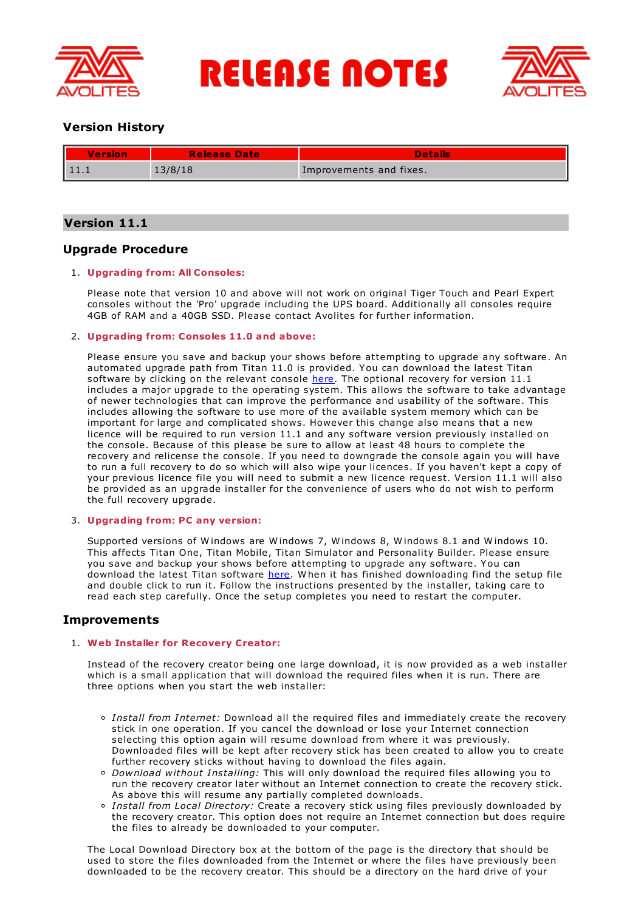

**RELEASE NOTES** 



# **Version History**

| Version | <b>Release Date</b> | Details                 |
|---------|---------------------|-------------------------|
|         | 13/8/18             | Improvements and fixes. |

# **Version 11.1**

# **Upgrade Procedure**

# 1. **Upgrading from: All Consoles:**

Please note that version 10 and above will not work on original Tiger Touch and Pearl Expert consoles without the 'Pro' upgrade including the UPS board. Additionally all consoles require 4GB of RAM and a 40GB SSD. Please contact Avolites for further information.

# 2. **Upgrading from: Consoles 11.0 and above:**

Please ensure you save and backup your shows before attempting to upgrade any software. An automated upgrade path from Titan 11.0 is provided. You can download the latest Titan software by clicking on the relevant console [here](http://www.avolites.com/software/latest-version). The optional recovery for version 11.1 includes a major upgrade to the operating system. This allows the software to take advantage of newer technologies that can improve the performance and usability of the software. This includes allowing the software to use more of the available system memory which can be important for large and complicated shows. However this change also means that a new licence will be required to run version 11.1 and any software version previously installed on the console. Because of this please be sure to allow at least 48 hours to complete the recovery and relicense the console. If you need to downgrade the console again you will have to run a full recovery to do so which will also wipe your licences. If you haven't kept a copy of your previous licence file you will need to submit a new licence request. Version 11.1 will also be provided as an upgrade installer for the convenience of users who do not wish to perform the full recovery upgrade.

# 3. **Upgrading from: PC any version:**

Supported versions of Windows are Windows 7, Windows 8, Windows 8.1 and Windows 10. This affects Titan One, Titan Mobile, Titan Simulator and Personality Builder. Please ensure you save and backup your shows before attempting to upgrade any software. You can download the latest Titan software [here](http://www.avolites.com/software/latest-version). When it has finished downloading find the setup file and double click to run it. Follow the instructions presented by the installer, taking care to read each step carefully. Once the setup completes you need to restart the computer.

# **Improvements**

# 1. **Web Installer for Recovery Creator:**

Instead of the recovery creator being one large download, it is now provided as a web installer which is a small application that will download the required files when it is run. There are three options when you start the web installer:

- *Install from Internet:* Download all the required files and immediately create the recovery stick in one operation. If you cancel the download or lose your Internet connection selecting this option again will resume download from where it was previously. Downloaded files will be kept after recovery stick has been created to allow you to create further recovery sticks without having to download the files again.
- *Download without Installing:* This will only download the required files allowing you to run the recovery creator later without an Internet connection to create the recovery stick. As above this will resume any partially completed downloads.
- *Install from Local Directory:* Create a recovery stick using files previously downloaded by the recovery creator. This option does not require an Internet connection but does require the files to already be downloaded to your computer.

The Local Download Directory box at the bottom of the page is the directory that should be used to store the files downloaded from the Internet or where the files have previously been downloaded to be the recovery creator. This should be a directory on the hard drive of your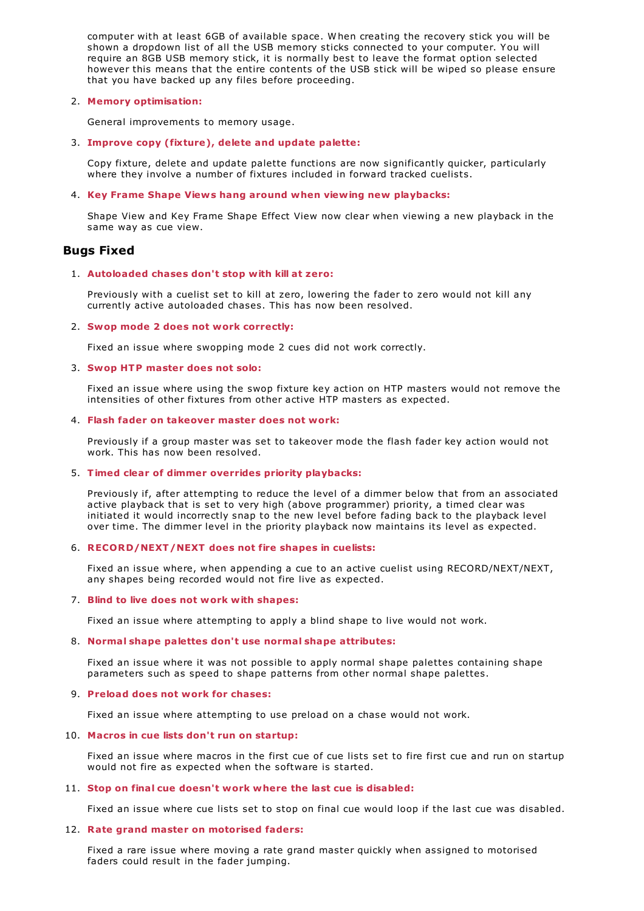computer with at least 6GB of available space. W hen creating the recovery stick you will be shown a dropdown list of all the USB memory sticks connected to your computer. You will require an 8GB USB memory stick, it is normally best to leave the format option selected however this means that the entire contents of the USB stick will be wiped so please ensure that you have backed up any files before proceeding.

# 2. **Memory optimisation:**

General improvements to memory usage.

3. **Improve copy (fixture), delete and update palette:**

Copy fixture, delete and update palette functions are now significantly quicker, particularly where they involve a number of fixtures included in forward tracked cuelists.

# 4. **Key Frame Shape Views hang around when viewing new playbacks:**

Shape View and Key Frame Shape Effect View now clear when viewing a new playback in the same way as cue view.

# **Bugs Fixed**

# 1. **Autoloaded chases don't stop with kill at zero:**

Previously with a cuelist set to kill at zero, lowering the fader to zero would not kill any currently active autoloaded chases. This has now been resolved.

# 2. **Swop mode 2 does not work correctly:**

Fixed an issue where swopping mode 2 cues did not work correctly.

# 3. **Swop HTP master does not solo:**

Fixed an issue where using the swop fixture key action on HTP masters would not remove the intensities of other fixtures from other active HTP masters as expected.

# 4. **Flash fader on takeover master does not work:**

Previously if a group master was set to takeover mode the flash fader key action would not work. This has now been resolved.

# 5. **Timed clear of dimmer overrides priority playbacks:**

Previously if, after attempting to reduce the level of a dimmer below that from an associated active playback that is set to very high (above programmer) priority, a timed clear was initiated it would incorrectly snap to the new level before fading back to the playback level over time. The dimmer level in the priority playback now maintains its level as expected.

# 6. **RECORD/NEXT/NEXT does not fire shapes in cuelists:**

Fixed an issue where, when appending a cue to an active cuelist using RECORD/NEXT/NEXT, any shapes being recorded would not fire live as expected.

# 7. **Blind to live does not work with shapes:**

Fixed an issue where attempting to apply a blind shape to live would not work.

# 8. **Normal shape palettes don't use normal shape attributes:**

Fixed an issue where it was not possible to apply normal shape palettes containing shape parameters such as speed to shape patterns from other normal shape palettes.

# 9. **Preload does not work for chases:**

Fixed an issue where attempting to use preload on a chase would not work.

# 10. **Macros in cue lists don't run on startup:**

Fixed an issue where macros in the first cue of cue lists set to fire first cue and run on startup would not fire as expected when the software is started.

# 11. **Stop on final cue doesn't work where the last cue is disabled:**

Fixed an issue where cue lists set to stop on final cue would loop if the last cue was disabled.

# 12. **Rate grand master on motorised faders:**

Fixed a rare issue where moving a rate grand master quickly when assigned to motorised faders could result in the fader jumping.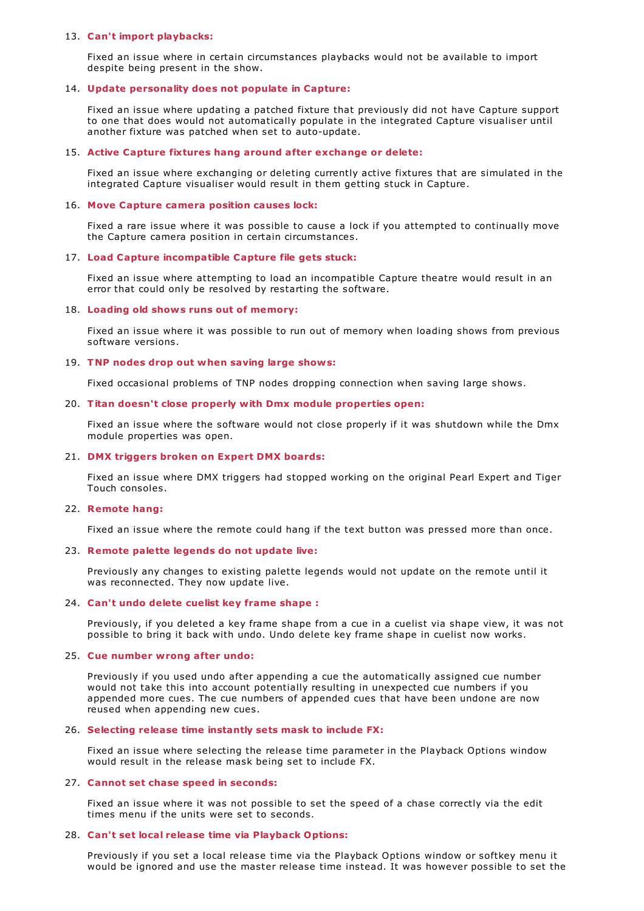### 13. **Can't import playbacks:**

Fixed an issue where in certain circumstances playbacks would not be available to import despite being present in the show.

## 14. **Update personality does not populate in Capture:**

Fixed an issue where updating a patched fixture that previously did not have Capture support to one that does would not automatically populate in the integrated Capture visualiser until another fixture was patched when set to auto-update.

## 15. **Active Capture fixtures hang around after exchange or delete:**

Fixed an issue where exchanging or deleting currently active fixtures that are simulated in the integrated Capture visualiser would result in them getting stuck in Capture.

### 16. **Move Capture camera position causes lock:**

Fixed a rare issue where it was possible to cause a lock if you attempted to continually move the Capture camera position in certain circumstances.

## 17. **Load Capture incompatible Capture file gets stuck:**

Fixed an issue where attempting to load an incompatible Capture theatre would result in an error that could only be resolved by restarting the software.

#### 18. **Loading old shows runs out of memory:**

Fixed an issue where it was possible to run out of memory when loading shows from previous software versions.

## 19. **TNP nodes drop out when saving large shows:**

Fixed occasional problems of TNP nodes dropping connection when saving large shows.

## 20. **Titan doesn't close properly with Dmx module properties open:**

Fixed an issue where the software would not close properly if it was shutdown while the Dmx module properties was open.

## 21. **DMX triggers broken on Expert DMX boards:**

Fixed an issue where DMX triggers had stopped working on the original Pearl Expert and Tiger Touch consoles.

#### 22. **Remote hang:**

Fixed an issue where the remote could hang if the text button was pressed more than once.

### 23. **Remote palette legends do not update live:**

Previously any changes to existing palette legends would not update on the remote until it was reconnected. They now update live.

#### 24. **Can't undo delete cuelist key frame shape :**

Previously, if you deleted a key frame shape from a cue in a cuelist via shape view, it was not possible to bring it back with undo. Undo delete key frame shape in cuelist now works.

#### 25. **Cue number wrong after undo:**

Previously if you used undo after appending a cue the automatically assigned cue number would not take this into account potentially resulting in unexpected cue numbers if you appended more cues. The cue numbers of appended cues that have been undone are now reused when appending new cues.

### 26. **Selecting release time instantly sets mask to include FX:**

Fixed an issue where selecting the release time parameter in the Playback Options window would result in the release mask being set to include FX.

#### 27. **Cannot set chase speed in seconds:**

Fixed an issue where it was not possible to set the speed of a chase correctly via the edit times menu if the units were set to seconds.

#### 28. **Can't set local release time via Playback Options:**

Previously if you set a local release time via the Playback Options window or softkey menu it would be ignored and use the master release time instead. It was however possible to set the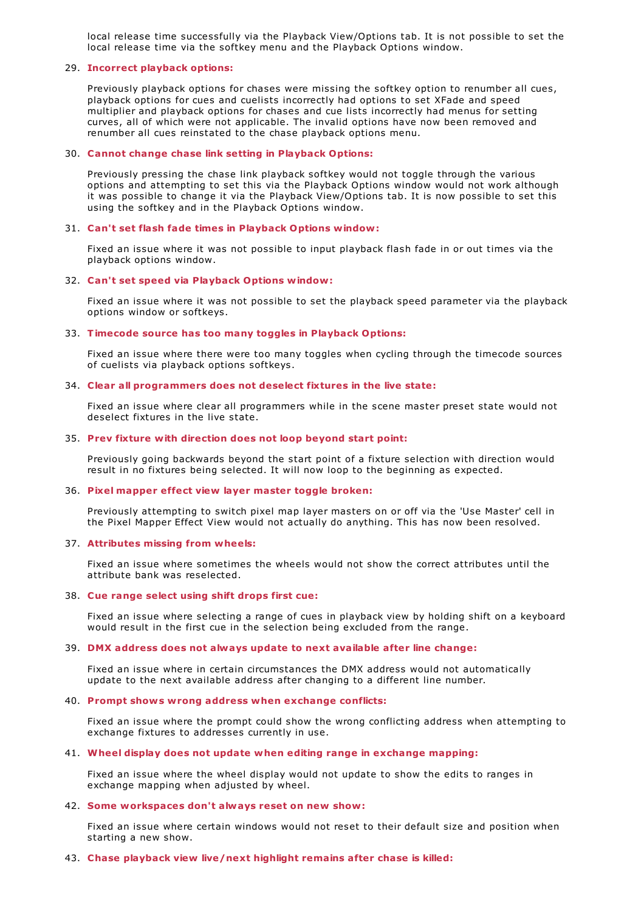local release time successfully via the Playback View/Options tab. It is not possible to set the local release time via the softkey menu and the Playback Options window.

## 29. **Incorrect playback options:**

Previously playback options for chases were missing the softkey option to renumber all cues, playback options for cues and cuelists incorrectly had options to set XFade and speed multiplier and playback options for chases and cue lists incorrectly had menus for setting curves, all of which were not applicable. The invalid options have now been removed and renumber all cues reinstated to the chase playback options menu.

#### 30. **Cannot change chase link setting in Playback Options:**

Previously pressing the chase link playback softkey would not toggle through the various options and attempting to set this via the Playback Options window would not work although it was possible to change it via the Playback View/Options tab. It is now possible to set this using the softkey and in the Playback Options window.

#### 31. **Can't set flash fade times in Playback Options window:**

Fixed an issue where it was not possible to input playback flash fade in or out times via the playback options window.

#### 32. **Can't set speed via Playback Options window:**

Fixed an issue where it was not possible to set the playback speed parameter via the playback options window or softkeys.

#### 33. **Timecode source has too many toggles in Playback Options:**

Fixed an issue where there were too many toggles when cycling through the timecode sources of cuelists via playback options softkeys.

### 34. **Clear all programmers does not deselect fixtures in the live state:**

Fixed an issue where clear all programmers while in the scene master preset state would not deselect fixtures in the live state.

## 35. **Prev fixture with direction does not loop beyond start point:**

Previously going backwards beyond the start point of a fixture selection with direction would result in no fixtures being selected. It will now loop to the beginning as expected.

#### 36. **Pixel mapper effect view layer master toggle broken:**

Previously attempting to switch pixel map layer masters on or off via the 'Use Master' cell in the Pixel Mapper Effect View would not actually do anything. This has now been resolved.

## 37. **Attributes missing from wheels:**

Fixed an issue where sometimes the wheels would not show the correct attributes until the attribute bank was reselected.

## 38. **Cue range select using shift drops first cue:**

Fixed an issue where selecting a range of cues in playback view by holding shift on a keyboard would result in the first cue in the selection being excluded from the range.

#### 39. **DMX address does not always update to next available after line change:**

Fixed an issue where in certain circumstances the DMX address would not automatically update to the next available address after changing to a different line number.

#### 40. **Prompt shows wrong address when exchange conflicts:**

Fixed an issue where the prompt could show the wrong conflicting address when attempting to exchange fixtures to addresses currently in use.

# 41. **Wheel display does not update when editing range in exchange mapping:**

Fixed an issue where the wheel display would not update to show the edits to ranges in exchange mapping when adjusted by wheel.

#### 42. **Some workspaces don't always reset on new show:**

Fixed an issue where certain windows would not reset to their default size and position when starting a new show.

#### 43. **Chase playback view live/next highlight remains after chase is killed:**